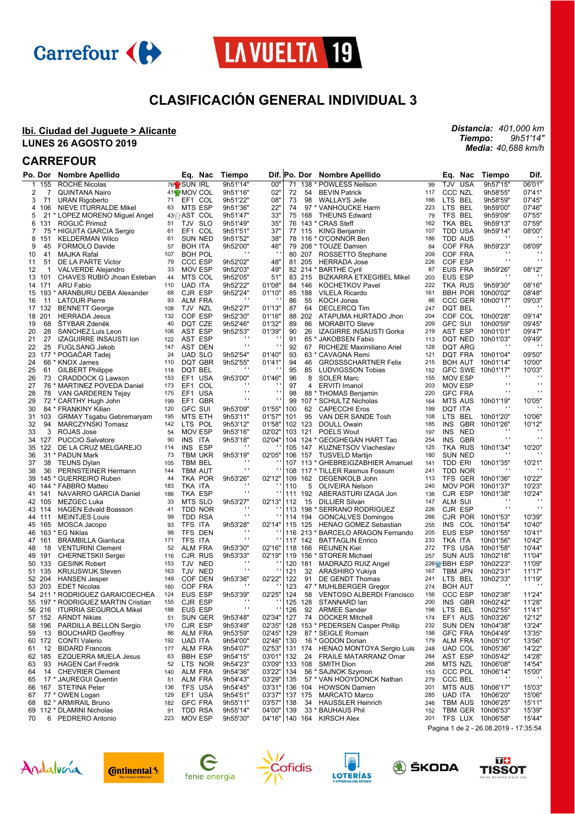



## **CLASIFICACIÓN GENERAL INDIVIDUAL 3**

#### **Ibi. Ciudad del Juguete > Alicante LUNES 26 AGOSTO 2019**

### **CARREFOUR**

|          | Po. Dor          | Nombre Apellido                               |           | Eq.<br>Nac                       | Tiempo                           |                     |            | Dif. Po. Dor  | <b>Nombre Apellido</b>                   |            | Eq.<br>Nac                                           | Tiempo                                | Dif.             |
|----------|------------------|-----------------------------------------------|-----------|----------------------------------|----------------------------------|---------------------|------------|---------------|------------------------------------------|------------|------------------------------------------------------|---------------------------------------|------------------|
|          | 1 155            | <b>ROCHE Nicolas</b>                          |           | 76 <sup>2</sup> SUN IRL          | 9h51'14"                         | 00"                 | 71         |               | 138 * POWLESS Neilson                    | 99         | <b>TJV</b><br><b>USA</b>                             | 9h57'15"                              | 06'01"           |
| 2        | 7                | <b>QUINTANA Nairo</b>                         |           | 41 <sup>6</sup> MOV COL          | 9h51'16"                         | 02"                 | 72         | 54            | <b>BEVIN Patrick</b>                     | 117        | CCC NZL                                              | 9h58'55"                              | 07'41'           |
| 3        | 71               | <b>URAN Rigoberto</b>                         | 71        | EF1 COL                          | 9h51'22"                         | 08"                 | 73         | 98            | WALLAYS Jelle                            | 166        | LTS BEL                                              | 9h58'59"                              | 07'45"           |
| 4        | 106              | NIEVE ITURRALDE Mikel                         | 63        | MTS ESP                          | 9h51'36"                         | 22"                 | 74         |               | 97 * VANHOUCKE Harm                      | 223        | LTS BEL                                              | 9h59'00"                              | 07'46"           |
| 5        |                  | 21 * LOPEZ MORENO Miguel Angel                |           | 43 AST COL                       | 9h51'47"                         | 33"                 |            | 75 168        | <b>THEUNS Edward</b>                     | 79         | TFS BEL                                              | 9h59'09"                              | 07'55'           |
| 6        | 131              | ROGLIĆ Primož                                 | 51        | <b>SLO</b><br>TJV                | 9h51'49"                         | 35"                 |            |               | 76 143 * CRAS Steff                      | 162        | TKA BEL                                              | 9h59'13"                              | 07'59"           |
| 7        |                  | 75 * HIGUITA GARCIA Sergio                    | 61        | EF1 COL                          | 9h51'51"                         | 37"                 |            | 77 115        | KING Benjamin                            | 107        | <b>TDD USA</b>                                       | 9h59'14"<br>$\cdots$                  | 08'00"           |
| 8        | 151              | <b>KELDERMAN Wilco</b>                        | 61        | <b>SUN NED</b>                   | 9h51'52"                         | 38"                 |            |               | 78 116 * O'CONNOR Ben                    | 186        | TDD AUS                                              |                                       |                  |
| 9        | 45<br>41         | <b>FORMOLO Davide</b><br>MAJKA Rafal          | 57<br>107 | <b>BOH ITA</b><br><b>BOH POL</b> | 9h52'00"                         | 46"<br>$\mathbf{r}$ | 79         | 80 207        | 208 * TOUZE Damien                       | 84<br>209  | COF FRA<br>COF FRA                                   | 9h59'23"<br>$\cdot$                   | 08'09"           |
| 10<br>11 | 51               | DE LA PARTE Victor                            | 79        | <b>CCC ESP</b>                   | 9h52'02"                         | 48"                 |            | 81 205        | ROSSETTO Stephane<br><b>HERRADA Jose</b> | 226        | COF ESP                                              | $\mathbf{r}$                          | $\mathbf{r}$ :   |
| 12       | 1                | <b>VALVERDE Alejandro</b>                     | 33        | <b>MOV ESP</b>                   | 9h52'03"                         | 49"                 |            |               | 82 214 * BARTHE Cyril                    | 87         | <b>EUS FRA</b>                                       | 9h59'26"                              | 08'12"           |
|          | 13 101           | CHAVES RUBIO Jhoan Esteban                    | 44        | MTS COL                          | 9h52'05"                         | 51"                 |            | 83 215        | <b>BIZKARRA ETXEGIBEL Mikel</b>          | 203        | EUS ESP                                              |                                       |                  |
|          | 14 171           | <b>ARU Fabio</b>                              | 110       | <b>UAD ITA</b>                   | 9h52'22"                         | 01'08"              |            | 84 146        | <b>KOCHETKOV Pavel</b>                   | 222        | <b>TKA RUS</b>                                       | 9h59'30"                              | 08'16"           |
| 15       |                  | 193 * ARANBURU DEBA Alexander                 | 68        | CJR ESP                          | 9h52'24"                         | 01'10"              |            | 85 188        | <b>VILELA Ricardo</b>                    | 161        | <b>BBH POR</b>                                       | 10h00'02"                             | 08'48"           |
| 16       | 11               | <b>LATOUR Pierre</b>                          | 93        | ALM FRA                          | $\cdot$                          |                     | 86         | 55            | KOCH Jonas                               | 86         | CCC GER                                              | 10h00'17"                             | 09'03"           |
|          | 17 132           | <b>BENNETT George</b>                         | 108       | TJV NZL                          | 9h52'27"                         | 01'13"              | 87         | 64            | <b>DECLERCQ Tim</b>                      | 247        | DQT BEL                                              | $\cdot$                               |                  |
| 18       | 201              | <b>HERRADA Jesus</b>                          | 132       | COF ESP                          | 9h52'30"                         | 01'16"              |            | 88 202        | ATAPUMA HURTADO Jhon                     | 204        | COF COL                                              | 10h00'28"                             | 09'14"           |
| 19       | 68               | STYBAR Zdeněk                                 | 40        | DQT CZE                          | 9h52'46"                         | 01'32"              | 89         | 86            | <b>MORABITO Steve</b>                    | 209        | <b>GFC SUI</b>                                       | 10h00'59"                             | 09'45"           |
| 20       | 28               | SANCHEZ Luis Leon                             | 106       | AST ESP                          | 9h52'53"                         | 01'39"              | 90         | 26            | IZAGIRRE INSAUSTI Gorka                  | 219        | AST ESP                                              | 10h01'01"                             | 09'47"           |
| 21       | 27               | <b>IZAGUIRRE INSAUSTI Ion</b>                 | 122       | AST ESP                          | $\blacksquare$                   |                     | 91         |               | 65 * JAKOBSEN Fabio                      | 113        | DQT NED                                              | 10h01'03"                             | 09'49"           |
| 22       | 25               | <b>FUGLSANG Jakob</b>                         | 147       | AST DEN                          | $\blacksquare$                   | $\cdot$             | 92         | 67            | RICHEZE Maximiliano Ariel                | 128        | DQT ARG                                              |                                       |                  |
| 23       |                  | 177 * POGACAR Tadej                           | 24        | <b>UAD SLO</b>                   | 9h52'54"                         | 01'40"              | 93         |               | 63 * CAVAGNA Remi                        | 121        | DQT FRA                                              | 10h01'04"                             | 09'50"           |
| 24       |                  | 66 * KNOX James                               | 110       | DQT GBR                          | 9h52'55"                         | 01'41"              | 94         | 46            | <b>GROSSSCHARTNER Felix</b>              | 215        | <b>BOH AUT</b>                                       | 10h01'14"                             | 10'00"           |
| 25       | 61               | <b>GILBERT Philippe</b>                       | 118       | DQT BEL                          | $\blacksquare$                   |                     | 95         | 85            | LUDVIGSSON Tobias                        | 152        | <b>GFC SWE</b>                                       | 10h01'17"                             | 10'03"           |
| 26       | 73               | <b>CRADDOCK G Lawson</b>                      | 153       | EF1<br>USA                       | 9h53'00"                         | 01'46"              | 96         | 8             | <b>SOLER Marc</b>                        | 155        | <b>MOV ESP</b>                                       | $\cdots$                              |                  |
| 27       |                  | 76 * MARTINEZ POVEDA Daniel                   | 173       | EF1<br>COL                       | $\cdot$                          |                     | 97         | 4             | <b>ERVITI Imanol</b>                     | 203        | <b>MOV ESP</b>                                       | $\cdots$<br>$\blacksquare$            | $\blacksquare$   |
| 28       | 78               | VAN GARDEREN Tejay                            | 175       | EF1 USA                          | $\blacksquare$<br>$\blacksquare$ | $\cdot$             | 98         |               | 88 * THOMAS Benjamin                     | 220        | <b>GFC FRA</b>                                       |                                       | $\mathbf{r}$ :   |
| 29       |                  | 72 * CARTHY Hugh John                         | 199       | EF1 GBR                          |                                  |                     | 99         |               | 107 * SCHULTZ Nicholas                   | 164        | <b>MTS AUS</b>                                       | 10h01'19"                             | 10'05"           |
| 30       |                  | 84 * FRANKINY Kilian                          | 120       | <b>GFC SUI</b>                   | 9h53'09"                         | 01'55"              | 100        | 62            | <b>CAPECCHI Eros</b>                     | 199        | DQT ITA                                              |                                       |                  |
| 31       | 103              | <b>GRMAY Tsgabu Gebremaryam</b>               | 195       | <b>MTS ETH</b>                   | 9h53'11"                         | 01'57"              | 101        | 95<br>102 123 | VAN DER SANDE Tosh<br><b>DOULL Owain</b> | 108        | <b>LTS</b><br>BEL                                    | 10h01'20"                             | 10'06"           |
| 32<br>33 | 94<br>3          | MARCZYNSKI Tomasz<br>ROJAS Jose               | 142<br>54 | LTS POL<br><b>MOV ESP</b>        | 9h53'12"<br>9h53'16"             | 01'58"<br>02'02"    |            | 103 121       | POELS Wout                               | 185<br>197 | <b>INS</b><br><b>GBR</b><br><b>INS</b><br><b>NED</b> | 10h01'26"<br>$\cdots$                 | 10'12"           |
| 34       | 127              | <b>PUCCIO Salvatore</b>                       | 90        | INS.<br>ITA                      | 9h53'18"                         | 02'04"              |            |               | 104 124 * GEOGHEGAN HART Tao             | 254        | <b>INS</b><br>GBR                                    | $\cdot$                               | $\blacksquare$   |
| 35       | 122              | DE LA CRUZ MELGAREJO                          | 114       | INS ESP                          | $\mathbf{r}$                     |                     |            | 105 147       | <b>KUZNETSOV Viacheslav</b>              | 125        | TKA RUS                                              | 10h01'34"                             | 10'20"           |
| 36       |                  | 31 * PADUN Mark                               | 73        | <b>TBM UKR</b>                   | 9h53'19"                         | 02'05"              |            |               | 106 157 TUSVELD Martijn                  | 180        | <b>SUN NED</b>                                       | $\cdots$                              |                  |
| 37       | 38               | <b>TEUNS Dylan</b>                            | 105       | <b>TBM BEL</b>                   | $\mathbf{r}$                     |                     |            |               | 107 113 * GHEBREIGZABHIER Amanuel        | 141        | TDD ERI                                              | 10h01'35"                             | 10'21'           |
| 38       | 36               | PERNSTEINER Hermann                           | 144       | <b>TBM AUT</b>                   | $\blacksquare$                   |                     |            |               | 108 117 * TILLER Rasmus Fossum           | 241        | TDD NOR                                              | $\cdots$                              |                  |
| 39       |                  | 145 * GUERREIRO Ruben                         | 44        | TKA POR                          | 9h53'26"                         | 02'12"              |            |               | 109 162 DEGENKOLB John                   | 113        | TFS GER                                              | 10h01'36"                             | 10'22"           |
| 40       |                  | 144 * FABBRO Matteo                           | 183       | TKA ITA                          | $\cdot$                          |                     | 110        | 5             | <b>OLIVEIRA Nelson</b>                   | 240        | <b>MOV POR</b>                                       | 10h01'37"                             | 10'23"           |
|          | 41 141           | NAVARRO GARCIA Daniel                         | 186       | TKA ESP                          | $\blacksquare$                   |                     |            | 111 192       | ABERASTURI IZAGA Jon                     | 136        | CJR ESP                                              | 10h01'38"                             | 10'24"           |
|          | 42 105           | MEZGEC Luka                                   | 33        | MTS SLO                          | 9h53'27"                         | 02'13"              | 112        | 15            | <b>DILLIER Silvan</b>                    | 147        | ALM SUI                                              | $\cdots$                              |                  |
|          | 43 114           | <b>HAGEN Edvald Boasson</b>                   | 41        | TDD NOR                          | $\cdot$                          |                     |            |               | 113 198 * SERRANO RODRIGUEZ              | 226        | CJR ESP                                              |                                       | $\mathbf{r}$ :   |
|          | 44 111           | <b>MEINTJES Louis</b>                         | 99        | TDD RSA                          | $\blacksquare$                   |                     |            |               | 114 194 GONCALVES Domingos               | 266        | CJR POR 10h01'53"                                    |                                       | 10'39"           |
|          | 45 165           | MOSCA Jacopo                                  | 93        | TFS ITA                          | 9h53'28"                         | 02'14"              |            | 115 125       | <b>HENAO GOMEZ Sebastian</b>             | 255        | INS COL                                              | 10h01'54"                             | 10'40"           |
|          | 46 163           | * EG Niklas                                   | 98        | TFS DEN                          | $\cdot$                          |                     | 116        |               | 213 * BARCELO ARAGON Fernando            | 205        | EUS ESP                                              | 10h01'55"                             | 10'41'           |
|          | 47 161           | <b>BRAMBILLA Gianluca</b>                     | 171       | TFS ITA                          | $\blacksquare$                   |                     |            | 117 142       | <b>BATTAGLIN Enrico</b>                  | 233        | TKA ITA                                              | 10h01'56"                             | 10'42"           |
| 48       | 18               | <b>VENTURINI Clement</b>                      | 52        | ALM FRA                          | 9h53'30"                         | 02'16"              |            | 118 166       | REIJNEN Kiel                             | 272        | TFS USA                                              | 10h01'58"                             | 10'44'           |
|          | 49 191           | <b>CHERNETSKII Sergei</b>                     | 116       | CJR RUS                          | 9h53'33"                         | 02'19"              |            |               | 119 156 * STORER Michael                 | 257        | <b>SUN AUS</b>                                       | 10h02'18"                             | 11'04'           |
|          | 50 133           | <b>GESINK Robert</b>                          | 153       | TJV NED                          | $\cdot$<br>$\blacksquare$        |                     |            | 120 181       | MADRAZO RUIZ Angel                       |            | 226 BBH ESP                                          | 10h02'23"                             | 11'09"           |
|          | 51 135           | <b>KRUIJSWIJK Steven</b>                      | 163       | TJV NED                          |                                  |                     | 121        | 32            | ARASHIRO Yukiya                          | 167        | TBM JPN                                              | 10h02'31"                             | 11'17'           |
|          | 52 204           | <b>HANSEN Jesper</b>                          | 149       | COF DEN                          | 9h53'36"<br>$\mathbf{r}$ .       | 02'22"              | 122        | 91            | DE GENDT Thomas                          | 241        | LTS BEL                                              | 10h02'33"<br>$\overline{\phantom{a}}$ | 11'19"           |
|          | 53 203           | <b>EDET Nicolas</b>                           | 160       | COF FRA                          |                                  |                     | 123        |               | 47 * MUHLBERGER Gregor                   | 274        | <b>BOH AUT</b>                                       |                                       |                  |
|          |                  | 54 211 * RODRIGUEZ GARAICOECHEA               | 124       | EUS ESP                          | 9h53'39"<br>$\cdots$             | 02'25"              | 124        |               | 58 VENTOSO ALBERDI Francisco             | 156        | CCC ESP                                              | 10h02'38"                             | 11'24'           |
|          |                  | 55 197 * RODRIGUEZ MARTIN Cristian            | 155       | CJR ESP                          | $\sim$                           |                     |            | 125 128       | STANNARD lan<br>92 ARMEE Sander          | 200        | INS GBR 10h02'42"<br>LTS BEL                         |                                       | 11'28"           |
|          | 56 216<br>57 152 | ITURRIA SEGUROLA Mikel<br><b>ARNDT Nikias</b> | 188<br>51 | EUS ESP<br>SUN GER               | 9h53'48"                         | 02'34"              | 126<br>127 | 74            | <b>DOCKER Mitchell</b>                   | 198<br>174 | EF1 AUS                                              | 10h02'55"<br>10h03'26"                | 11'41'<br>12'12" |
|          | 58 196           | PARDILLA BELLON Sergio                        | 170       | CJR ESP                          | 9h53'49"                         | 02'35"              |            |               | 128 153 * PEDERSEN Casper Phillip        | 232        | <b>SUN DEN</b>                                       | 10h04'38"                             | 13'24'           |
| 59       | 13               | <b>BOUCHARD Geoffrey</b>                      | 86        | ALM FRA                          | 9h53'59"                         | 02'45"              | 129        |               | 87 * SEIGLE Romain                       | 198        | <b>GFC FRA</b>                                       | 10h04'49"                             | 13'35"           |
|          | 60 172           | <b>CONTI Valerio</b>                          | 192       | <b>UAD ITA</b>                   | 9h54'00"                         | 02'46"              | 130        |               | 16 * GODON Dorian                        | 179        | ALM FRA                                              | 10h05'10"                             | 13'56"           |
| 61       | 12               | <b>BIDARD Francois</b>                        | 177       | ALM FRA                          | 9h54'07"                         | 02'53"              |            | 131 174       | <b>HENAO MONTOYA Sergio Luis</b>         | 248        | UAD COL                                              | 10h05'36"                             | 14'22"           |
|          | 62 185           | <b>EZQUERRA MUELA Jesus</b>                   | 63        | <b>BBH ESP</b>                   | 9h54'15"                         | 03'01"              | 132        |               | 24 FRAILE MATARRANZ Omar                 | 284        | AST ESP                                              | 10h05'42"                             | 14'28"           |
| 63       | 93               | <b>HAGEN Carl Fredrik</b>                     | 52        | LTS NOR                          | 9h54'23"                         | 03'09"              |            | 133 108       | SMITH Dion                               | 266        | MTS NZL                                              | 10h06'08"                             | 14'54'           |
| 64       | 14               | <b>CHEVRIER Clement</b>                       | 140       | ALM FRA                          | 9h54'36"                         | 03'22"              | 134        |               | 56 * SAJNOK Szymon                       | 153        | CCC POL                                              | 10h06'14"                             | 15'00"           |
| 65       |                  | 17 * JAUREGUI Quentin                         | 51        | ALM FRA                          | 9h54'43"                         | 03'29"              | 135        |               | 57 * VAN HOOYDONCK Nathan                | 279        | CCC BEL                                              | $\cdots$                              |                  |
| 66       | 167              | <b>STETINA Peter</b>                          | 136       | TFS USA                          | 9h54'45"                         | 03'31"              |            | 136 104       | <b>HOWSON Damien</b>                     | 201        | <b>MTS AUS</b>                                       | 10h06'17"                             | 15'03"           |
| 67       |                  | 77 * OWEN Logan                               | 129       | EF1 USA                          | 9h54'51"                         | 03'37"              |            | 137 175       | <b>MARCATO Marco</b>                     | 285        | <b>UAD ITA</b>                                       | 10h06'20"                             | 15'06"           |
| 68       |                  | 82 * ARMIRAIL Bruno                           | 182       | <b>GFC FRA</b>                   | 9h55'11"                         | 03'57"              | 138        | 34            | <b>HAUSSLER Heinrich</b>                 | 246        | TBM AUS                                              | 10h06'25"                             | 15'11"           |
| 69       |                  | 112 * DLAMINI Nicholas                        | 91        | TDD RSA                          | 9h55'14"                         | 04'00"              | 139        |               | 33 * BAUHAUS Phil                        | 152        | TBM GER                                              | 10h06'53"                             | 15'39"           |
| 70       |                  | 6 PEDRERO Antonio                             | 223       | <b>MOV ESP</b>                   | 9h55'30"                         |                     |            |               | 04'16"   140 164 KIRSCH Alex             | 201        | TFS LUX 10h06'58"                                    |                                       | 15'44"           |

Pagina 1 de 2 - 26.08.2019 - 17:35:54















*Distancia: 401,000 km Tiempo: 9h51'14" Media: 40,688 km/h*